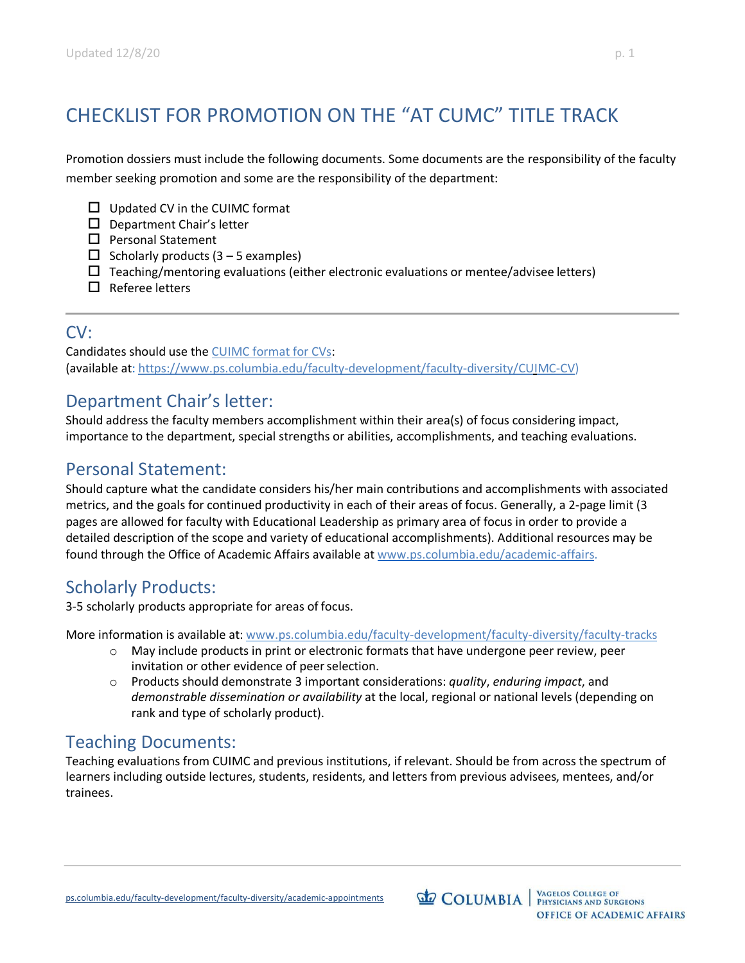# CHECKLIST FOR PROMOTION ON THE "AT CUMC" TITLE TRACK

Promotion dossiers must include the following documents. Some documents are the responsibility of the faculty member seeking promotion and some are the responsibility of the department:

- $\Box$  Updated CV in the CUIMC format
- $\square$  Department Chair's letter
- $\square$  Personal Statement
- $\Box$  Scholarly products (3 5 examples)
- $\Box$  Teaching/mentoring evaluations (either electronic evaluations or mentee/advisee letters)
- $\square$  Referee letters

### CV:

Candidates should use the CUIMC format for CVs: (available at: https://www.ps.columbia.edu/faculty-development/faculty-diversity/CUIMC-CV)

# Department Chair's letter:

Should address the faculty members accomplishment within their area(s) of focus considering impact, importance to the department, special strengths or abilities, accomplishments, and teaching evaluations.

## Personal Statement:

Should capture what the candidate considers his/her main contributions and accomplishments with associated metrics, and the goals for continued productivity in each of their areas of focus. Generally, a 2-page limit (3 pages are allowed for faculty with Educational Leadership as primary area of focus in order to provide a detailed description of the scope and variety of educational accomplishments). Additional resources may be found through the Office of Academic Affairs available at www.ps.columbia.edu/academic-affairs.

# Scholarly Products:

3-5 scholarly products appropriate for areas of focus.

More information is available at: www.ps.columbia.edu/faculty-development/faculty-diversity/faculty-tracks

- $\circ$  May include products in print or electronic formats that have undergone peer review, peer invitation or other evidence of peerselection.
- o Products should demonstrate 3 important considerations: *quality*, *enduring impact*, and *demonstrable dissemination or availability* at the local, regional or national levels (depending on rank and type of scholarly product).

### Teaching Documents:

Teaching evaluations from CUIMC and previous institutions, if relevant. Should be from across the spectrum of learners including outside lectures, students, residents, and letters from previous advisees, mentees, and/or trainees.